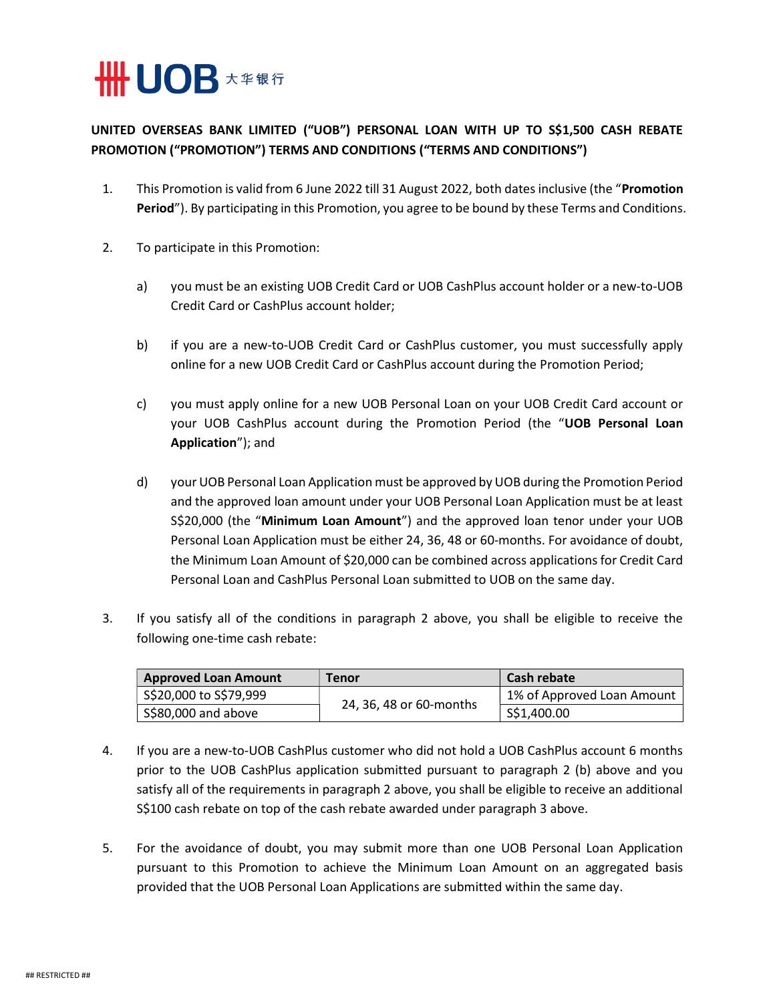

## UNITED OVERSEAS BANK LIMITED ("UOB") PERSONAL LOAN WITH UP TO S\$1,500 CASH REBATE PROMOTION ("PROMOTION") TERMS AND CONDITIONS ("TERMS AND CONDITIONS")

- 1. This Promotion is valid from 6 June 2022 till 31 August 2022, both dates inclusive (the "Promotion Period"). By participating in this Promotion, you agree to be bound by these Terms and Conditions.
- 2. To participate in this Promotion:
	- a) you must be an existing UOB Credit Card or UOB CashPlus account holder or a new-to-UOB Credit Card or CashPlus account holder;
	- b) if you are a new-to-UOB Credit Card or CashPlus customer, you must successfully apply online for a new UOB Credit Card or CashPlus account during the Promotion Period;
	- c) you must apply online for a new UOB Personal Loan on your UOB Credit Card account or your UOB CashPlus account during the Promotion Period (the "UOB Personal Loan Application"); and
	- d) your UOB Personal Loan Application must be approved by UOB during the Promotion Period and the approved loan amount under your UOB Personal Loan Application must be at least S\$20,000 (the "Minimum Loan Amount") and the approved loan tenor under your UOB Personal Loan Application must be either 24, 36, 48 or 60-months. For avoidance of doubt, the Minimum Loan Amount of \$20,000 can be combined across applications for Credit Card Personal Loan and CashPlus Personal Loan submitted to UOB on the same day.
- 3. If you satisfy all of the conditions in paragraph 2 above, you shall be eligible to receive the following one-time cash rebate:

| <b>Approved Loan Amount</b> | <b>Tenor</b>            | Cash rebate                |
|-----------------------------|-------------------------|----------------------------|
| \$\$20,000 to \$\$79,999    | 24, 36, 48 or 60-months | 1% of Approved Loan Amount |
| S\$80,000 and above         |                         | S\$1,400.00                |

- 4. If you are a new-to-UOB CashPlus customer who did not hold a UOB CashPlus account 6 months prior to the UOB CashPlus application submitted pursuant to paragraph 2 (b) above and you satisfy all of the requirements in paragraph 2 above, you shall be eligible to receive an additional S\$100 cash rebate on top of the cash rebate awarded under paragraph 3 above.
- 5. For the avoidance of doubt, you may submit more than one UOB Personal Loan Application pursuant to this Promotion to achieve the Minimum Loan Amount on an aggregated basis provided that the UOB Personal Loan Applications are submitted within the same day.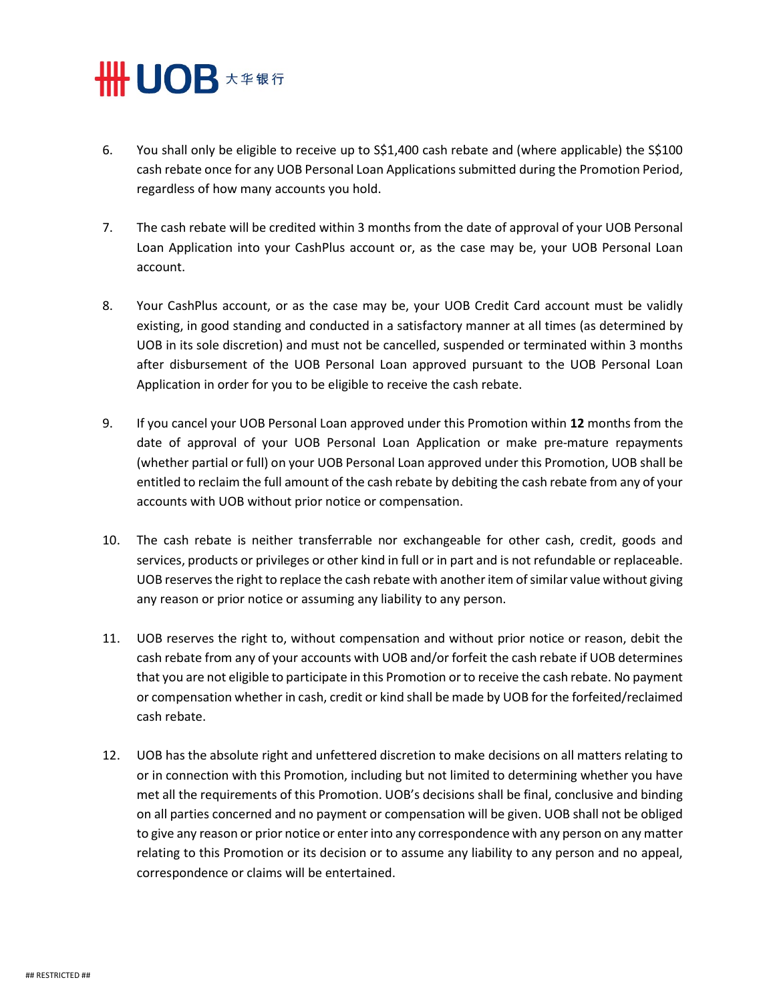

- 6. You shall only be eligible to receive up to S\$1,400 cash rebate and (where applicable) the S\$100 cash rebate once for any UOB Personal Loan Applications submitted during the Promotion Period, regardless of how many accounts you hold.
- 7. The cash rebate will be credited within 3 months from the date of approval of your UOB Personal Loan Application into your CashPlus account or, as the case may be, your UOB Personal Loan account.
- 8. Your CashPlus account, or as the case may be, your UOB Credit Card account must be validly existing, in good standing and conducted in a satisfactory manner at all times (as determined by UOB in its sole discretion) and must not be cancelled, suspended or terminated within 3 months after disbursement of the UOB Personal Loan approved pursuant to the UOB Personal Loan Application in order for you to be eligible to receive the cash rebate.
- 9. If you cancel your UOB Personal Loan approved under this Promotion within 12 months from the date of approval of your UOB Personal Loan Application or make pre-mature repayments (whether partial or full) on your UOB Personal Loan approved under this Promotion, UOB shall be entitled to reclaim the full amount of the cash rebate by debiting the cash rebate from any of your accounts with UOB without prior notice or compensation.
- 10. The cash rebate is neither transferrable nor exchangeable for other cash, credit, goods and services, products or privileges or other kind in full or in part and is not refundable or replaceable. UOB reserves the right to replace the cash rebate with another item of similar value without giving any reason or prior notice or assuming any liability to any person.
- 11. UOB reserves the right to, without compensation and without prior notice or reason, debit the cash rebate from any of your accounts with UOB and/or forfeit the cash rebate if UOB determines that you are not eligible to participate in this Promotion or to receive the cash rebate. No payment or compensation whether in cash, credit or kind shall be made by UOB for the forfeited/reclaimed cash rebate.
- 12. UOB has the absolute right and unfettered discretion to make decisions on all matters relating to or in connection with this Promotion, including but not limited to determining whether you have met all the requirements of this Promotion. UOB's decisions shall be final, conclusive and binding on all parties concerned and no payment or compensation will be given. UOB shall not be obliged to give any reason or prior notice or enter into any correspondence with any person on any matter relating to this Promotion or its decision or to assume any liability to any person and no appeal, correspondence or claims will be entertained.